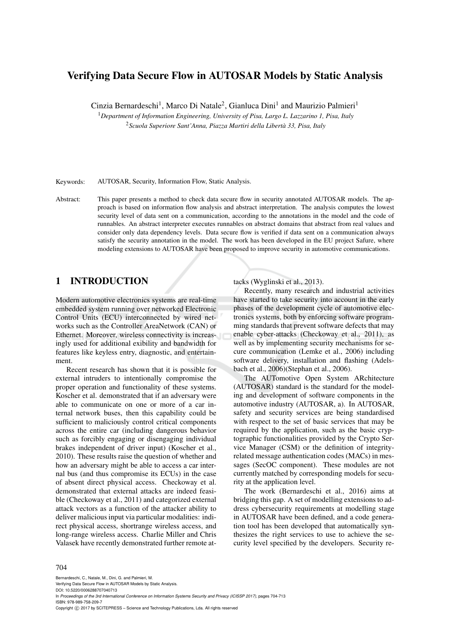# Verifying Data Secure Flow in AUTOSAR Models by Static Analysis

Cinzia Bernardeschi<sup>1</sup>, Marco Di Natale<sup>2</sup>, Gianluca Dini<sup>1</sup> and Maurizio Palmieri<sup>1</sup>

<sup>1</sup>*Department of Information Engineering, University of Pisa, Largo L. Lazzarino 1, Pisa, Italy* <sup>2</sup>*Scuola Superiore Sant'Anna, Piazza Martiri della Liberta 33, Pisa, Italy `*

Keywords: AUTOSAR, Security, Information Flow, Static Analysis.

Abstract: This paper presents a method to check data secure flow in security annotated AUTOSAR models. The approach is based on information flow analysis and abstract interpretation. The analysis computes the lowest security level of data sent on a communication, according to the annotations in the model and the code of runnables. An abstract interpreter executes runnables on abstract domains that abstract from real values and consider only data dependency levels. Data secure flow is verified if data sent on a communication always satisfy the security annotation in the model. The work has been developed in the EU project Safure, where modeling extensions to AUTOSAR have been proposed to improve security in automotive communications.

### 1 INTRODUCTION

Modern automotive electronics systems are real-time embedded system running over networked Electronic Control Units (ECU) interconnected by wired networks such as the Controller AreaNetwork (CAN) or Ethernet. Moreover, wireless connectivity is increasingly used for additional exibility and bandwidth for features like keyless entry, diagnostic, and entertainment.

Recent research has shown that it is possible for external intruders to intentionally compromise the proper operation and functionality of these systems. Koscher et al. demonstrated that if an adversary were able to communicate on one or more of a car internal network buses, then this capability could be sufficient to maliciously control critical components across the entire car (including dangerous behavior such as forcibly engaging or disengaging individual brakes independent of driver input) (Koscher et al., 2010). These results raise the question of whether and how an adversary might be able to access a car internal bus (and thus compromise its ECUs) in the case of absent direct physical access. Checkoway et al. demonstrated that external attacks are indeed feasible (Checkoway et al., 2011) and categorized external attack vectors as a function of the attacker ability to deliver malicious input via particular modalities: indirect physical access, shortrange wireless access, and long-range wireless access. Charlie Miller and Chris Valasek have recently demonstrated further remote attacks (Wyglinski et al., 2013).

Recently, many research and industrial activities have started to take security into account in the early phases of the development cycle of automotive electronics systems, both by enforcing software programming standards that prevent software defects that may enable cyber-attacks (Checkoway et al., 2011), as well as by implementing security mechanisms for secure communication (Lemke et al., 2006) including software delivery, installation and flashing (Adelsbach et al., 2006)(Stephan et al., 2006).

The AUTomotive Open System ARchitecture (AUTOSAR) standard is the standard for the modeling and development of software components in the automotive industry (AUTOSAR, a). In AUTOSAR, safety and security services are being standardised with respect to the set of basic services that may be required by the application, such as the basic cryptographic functionalities provided by the Crypto Service Manager (CSM) or the definition of integrityrelated message authentication codes (MACs) in messages (SecOC component). These modules are not currently matched by corresponding models for security at the application level.

The work (Bernardeschi et al., 2016) aims at bridging this gap. A set of modelling extensions to address cybersecurity requirements at modelling stage in AUTOSAR have been defined, and a code generation tool has been developed that automatically synthesizes the right services to use to achieve the security level specified by the developers. Security re-

#### 704

Bernardeschi, C., Natale, M., Dini, G. and Palmieri, M. Verifying Data Secure Flow in AUTOSAR Models by Static Analysis. DOI: 10.5220/0006288707040713 In *Proceedings of the 3rd International Conference on Information Systems Security and Privacy (ICISSP 2017)*, pages 704-713

ISBN: 978-989-758-209-7 Copyright © 2017 by SCITEPRESS - Science and Technology Publications, Lda. All rights reserved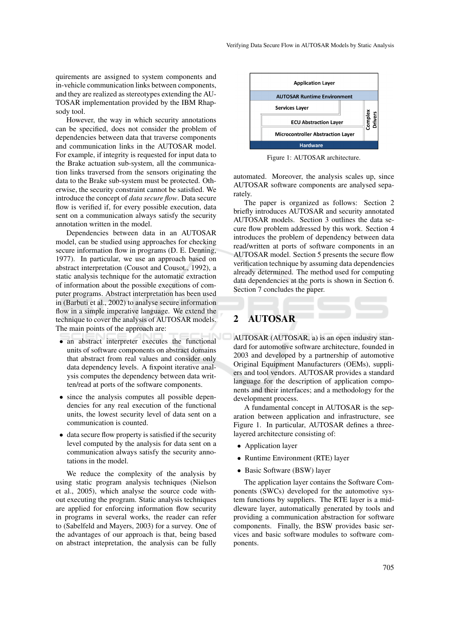quirements are assigned to system components and in-vehicle communication links between components, and they are realized as stereotypes extending the AU-TOSAR implementation provided by the IBM Rhapsody tool.

However, the way in which security annotations can be specified, does not consider the problem of dependencies between data that traverse components and communication links in the AUTOSAR model. For example, if integrity is requested for input data to the Brake actuation sub-system, all the communication links traversed from the sensors originating the data to the Brake sub-system must be protected. Otherwise, the security constraint cannot be satisfied. We introduce the concept of *data secure flow*. Data secure flow is verified if, for every possible execution, data sent on a communication always satisfy the security annotation written in the model.

Dependencies between data in an AUTOSAR model, can be studied using approaches for checking secure information flow in programs (D. E. Denning, 1977). In particular, we use an approach based on abstract interpretation (Cousot and Cousot., 1992), a static analysis technique for the automatic extraction of information about the possible executions of computer programs. Abstract interpretation has been used in (Barbuti et al., 2002) to analyse secure information flow in a simple imperative language. We extend the technique to cover the analysis of AUTOSAR models. The main points of the approach are:

- an abstract interpreter executes the functional units of software components on abstract domains that abstract from real values and consider only data dependency levels. A fixpoint iterative analysis computes the dependency between data written/read at ports of the software components.
- since the analysis computes all possible dependencies for any real execution of the functional units, the lowest security level of data sent on a communication is counted.
- data secure flow property is satisfied if the security level computed by the analysis for data sent on a communication always satisfy the security annotations in the model.

We reduce the complexity of the analysis by using static program analysis techniques (Nielson et al., 2005), which analyse the source code without executing the program. Static analysis techniques are applied for enforcing information flow security in programs in several works, the reader can refer to (Sabelfeld and Mayers, 2003) for a survey. One of the advantages of our approach is that, being based on abstract intepretation, the analysis can be fully



Figure 1: AUTOSAR architecture.

automated. Moreover, the analysis scales up, since AUTOSAR software components are analysed separately.

The paper is organized as follows: Section 2 briefly introduces AUTOSAR and security annotated AUTOSAR models. Section 3 outlines the data secure flow problem addressed by this work. Section 4 introduces the problem of dependency between data read/written at ports of software components in an AUTOSAR model. Section 5 presents the secure flow verification technique by assuming data dependencies already determined. The method used for computing data dependencies at the ports is shown in Section 6. Section 7 concludes the paper.

# 2 AUTOSAR

AUTOSAR (AUTOSAR, a) is an open industry standard for automotive software architecture, founded in 2003 and developed by a partnership of automotive Original Equipment Manufacturers (OEMs), suppliers and tool vendors. AUTOSAR provides a standard language for the description of application components and their interfaces; and a methodology for the development process.

A fundamental concept in AUTOSAR is the separation between application and infrastructure, see Figure 1. In particular, AUTOSAR defines a threelayered architecture consisting of:

- Application layer
- Runtime Environment (RTE) layer
- Basic Software (BSW) layer

The application layer contains the Software Components (SWCs) developed for the automotive system functions by suppliers. The RTE layer is a middleware layer, automatically generated by tools and providing a communication abstraction for software components. Finally, the BSW provides basic services and basic software modules to software components.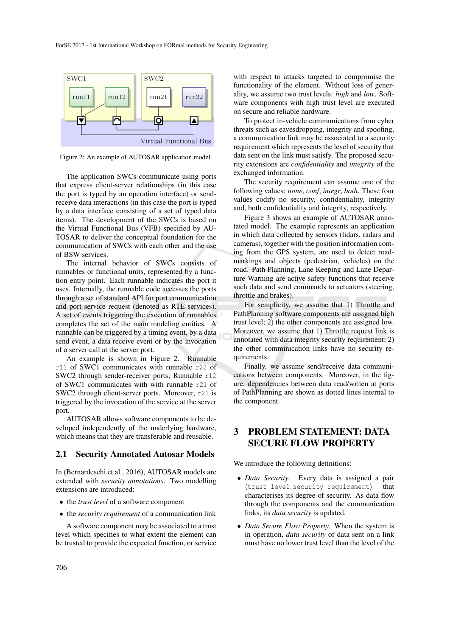

Figure 2: An example of AUTOSAR application model.

The application SWCs communicate using ports that express client-server relationships (in this case the port is typed by an operation interface) or sendreceive data interactions (in this case the port is typed by a data interface consisting of a set of typed data items). The development of the SWCs is based on the Virtual Functional Bus (VFB) specified by AU-TOSAR to deliver the conceptual foundation for the communication of SWCs with each other and the use of BSW services.

The internal behavior of SWCs consists of runnables or functional units, represented by a function entry point. Each runnable indicates the port it uses. Internally, the runnable code accesses the ports through a set of standard API for port communication and port service request (denoted as RTE services). A set of events triggering the execution of runnables completes the set of the main modeling entities. A runnable can be triggered by a timing event, by a data send event, a data receive event or by the invocation of a server call at the server port.

An example is shown in Figure 2. Runnable r11 of SWC1 communicates with runnable r22 of SWC2 through sender-receiver ports; Runnable r12 of SWC1 communicates with with runnable r21 of SWC2 through client-server ports. Moreover, r21 is triggered by the invocation of the service at the server port.

AUTOSAR allows software components to be developed independently of the underlying hardware, which means that they are transferable and reusable.

### 2.1 Security Annotated Autosar Models

In (Bernardeschi et al., 2016), AUTOSAR models are extended with *security annotations*. Two modelling extensions are introduced:

- the *trust level* of a software component
- the *security requirement* of a communication link

A software component may be associated to a trust level which specifies to what extent the element can be trusted to provide the expected function, or service

with respect to attacks targeted to compromise the functionality of the element. Without loss of generality, we assume two trust levels: *high* and *low*. Software components with high trust level are executed on secure and reliable hardware.

To protect in-vehicle communications from cyber threats such as eavesdropping, integrity and spoofing, a communication link may be associated to a security requirement which represents the level of security that data sent on the link must satisfy. The proposed security extensions are *confidentiality* and *integrity* of the exchanged information.

The security requirement can assume one of the following values: *none*, *conf*, *integr*, *both*. These four values codify no security, confidentiality, integrity and, both confidentiality and integrity, respectively.

Figure 3 shows an example of AUTOSAR annotated model. The example represents an application in which data collected by sensors (lidars, radars and cameras), together with the position information coming from the GPS system, are used to detect roadmarkings and objects (pedestrian, vehicles) on the road. Path Planning, Lane Keeping and Lane Departure Warning are active safety functions that receive such data and send commands to actuators (steering, throttle and brakes).

For semplicity, we assume that 1) Throttle and PathPlanning software components are assigned high trust level; 2) the other components are assigned low. Moreover, we assume that 1) Throttle request link is annotated with data integrity security requirement; 2) the other comminication links have no security requirements.

Finally, we assume send/receive data communications between components. Moreover, in the figure, dependencies between data read/writen at ports of PathPlanning are shown as dotted lines internal to the component.

## 3 PROBLEM STATEMENT: DATA SECURE FLOW PROPERTY

We introduce the following definitions:

- *Data Security*. Every data is assigned a pair  $\langle$ trust level, security requirement $\rangle$ characterises its degree of security. As data flow through the components and the communication links, its *data security* is updated.
- *Data Secure Flow Property*. When the system is in operation, *data security* of data sent on a link must have no lower trust level than the level of the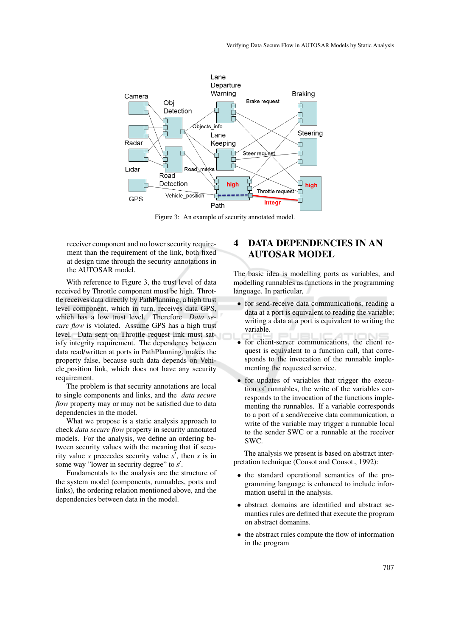

Figure 3: An example of security annotated model.

receiver component and no lower security requirement than the requirement of the link, both fixed at design time through the security annotations in the AUTOSAR model.

With reference to Figure 3, the trust level of data received by Throttle component must be high. Throttle receives data directly by PathPlanning, a high trust level component, which in turn, receives data GPS, which has a low trust level. Therefore *Data secure flow* is violated. Assume GPS has a high trust level. Data sent on Throttle request link must satisfy integrity requirement. The dependency between data read/written at ports in PathPlanning, makes the property false, because such data depends on Vehicle position link, which does not have any security requirement.

The problem is that security annotations are local to single components and links, and the *data secure flow* property may or may not be satisfied due to data dependencies in the model.

What we propose is a static analysis approach to check *data secure flow* property in security annotated models. For the analysis, we define an ordering between security values with the meaning that if security value *s* preceedes security value  $s'$ , then *s* is in some way "lower in security degree" to  $s'$ .

Fundamentals to the analysis are the structure of the system model (components, runnables, ports and links), the ordering relation mentioned above, and the dependencies between data in the model.

# 4 DATA DEPENDENCIES IN AN AUTOSAR MODEL

The basic idea is modelling ports as variables, and modelling runnables as functions in the programming language. In particular,

- for send-receive data communications, reading a data at a port is equivalent to reading the variable; writing a data at a port is equivalent to writing the variable.
- for client-server communications, the client request is equivalent to a function call, that corresponds to the invocation of the runnable implementing the requested service.
- for updates of variables that trigger the execution of runnables, the write of the variables corresponds to the invocation of the functions implementing the runnables. If a variable corresponds to a port of a send/receive data communication, a write of the variable may trigger a runnable local to the sender SWC or a runnable at the receiver SWC.

The analysis we present is based on abstract interpretation technique (Cousot and Cousot., 1992):

- the standard operational semantics of the programming language is enhanced to include information useful in the analysis.
- abstract domains are identified and abstract semantics rules are defined that execute the program on abstract domanins.
- the abstract rules compute the flow of information in the program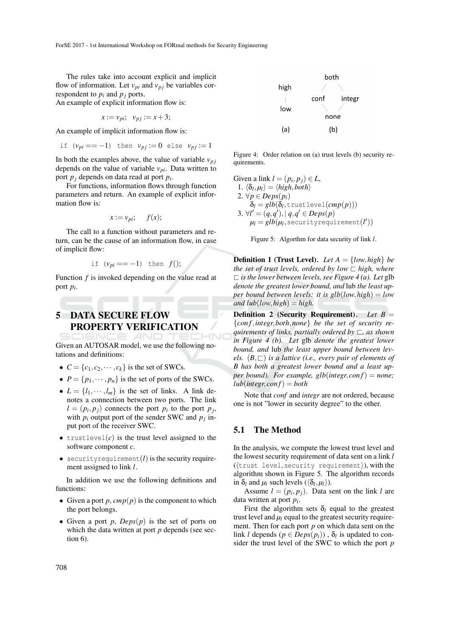The rules take into account explicit and implicit flow of information. Let  $v_{pi}$  and  $v_{pj}$  be variables correspondent to  $p_i$  and  $p_j$  ports. An example of explicit information flow is:

$$
x := v_{pi}; \quad v_{pj} := x + 3;
$$

An example of implicit information flow is:

if 
$$
(v_{pi} == -1)
$$
 then  $v_{pj} := 0$  else  $v_{pj} := 1$ 

In both the examples above, the value of variable  $v_{pj}$ depends on the value of variable *vpi*. Data written to port *p<sup>j</sup>* depends on data read at port *p<sup>i</sup>* .

For functions, information flows through function parameters and return. An example of explicit information flow is:

$$
x := v_{pi}; \quad f(x);
$$

The call to a function without parameters and return, can be the cause of an information flow, in case of implicit flow:

if 
$$
(v_{pi} == -1)
$$
 then  $f()$ ;

Function *f* is invoked depending on the value read at port *p<sup>i</sup>* .

# 5 DATA SECURE FLOW PROPERTY VERIFICATION

Given an AUTOSAR model, we use the following notations and definitions:

- $C = \{c_1, c_2, \dots, c_k\}$  is the set of SWCs.
- $P = \{p_1, \dots, p_n\}$  is the set of ports of the SWCs.
- $L = \{l_1, \dots, l_m\}$  is the set of links. A link denotes a connection between two ports. The link  $l = (p_i, p_j)$  connects the port  $p_i$  to the port  $p_j$ , with  $p_i$  output port of the sender SWC and  $p_j$  input port of the receiver SWC.
- trustlevel(*c*) is the trust level assigned to the software component *c*.
- securityrequirement(*l*) is the security requirement assigned to link *l*.

In addition we use the following definitions and functions:

- Given a port  $p$ ,  $cmp(p)$  is the component to which the port belongs.
- Given a port *p*, *Deps*(*p*) is the set of ports on which the data written at port *p* depends (see section 6).



Figure 4: Order relation on (a) trust levels (b) security requirements.

Given a link  $l = (p_i, p_j) \in L$ , 1.  $\langle \delta_l, \mu_l \rangle = \langle high, both \rangle$ 2.  $\forall p \in Deps(p_i)$  $\delta_l = glb(\delta_l, \text{trustlevel}(cmp(p)))$ 3. ∀*l'* =  $(q, q')$ , |  $q, q' \in Deps(p)$  $\mu_l=glb(\mu_l, \text{\text{securityrequirement}}(l'))$ 

Figure 5: Algorthm for data security of link *l*.

**Definition 1 (Trust Level).** *Let*  $A = \{low, high\}$  *be the set of trust levels, ordered by low*  $\Box$  *high, where*  $\Box$  *is the lower between levels, see Figure 4 (a). Let* glb *denote the greatest lower bound, and* lub *the least upper bound between levels: it is glb*(*low*,*high*) = *low*  $and lub(low, high) = high.$ 

Definition 2 (Security Requirement)*. Let B* = {*con f*,*integr*,*both*,*none*} *be the set of security requirements of links, partially ordered by*  $\sqsubset$ *, as shown in Figure 4 (b). Let* glb *denote the greatest lower bound, and* lub *the least upper bound between levels.*  $(B, \sqsubset)$  *is a lattice (i.e., every pair of elements of B has both a greatest lower bound and a least upper bound). For example, glb*( $integer, conf$ ) = *none*;  $lub(integr, conf) = both$ 

Note that *conf* and *integr* are not ordered, because one is not "lower in security degree" to the other.

### 5.1 The Method

In the analysis, we compute the lowest trust level and the lowest security requirement of data sent on a link *l*  $(\langle \text{trust level}, \text{security requirement} \rangle)$ , with the algorithm shown in Figure 5. The algorithm records in  $\delta_l$  and  $\mu_l$  such levels ( $\langle \delta_l, \mu_l \rangle$ ).

Assume  $l = (p_i, p_j)$ . Data sent on the link *l* are data written at port *p<sup>i</sup>* .

First the algorithm sets  $\delta_l$  equal to the greatest trust level and  $\mu_l$  equal to the greatest security requirement. Then for each port *p* on which data sent on the link *l* depends ( $p \in Deps(p_i)$ ),  $\delta_l$  is updated to consider the trust level of the SWC to which the port *p*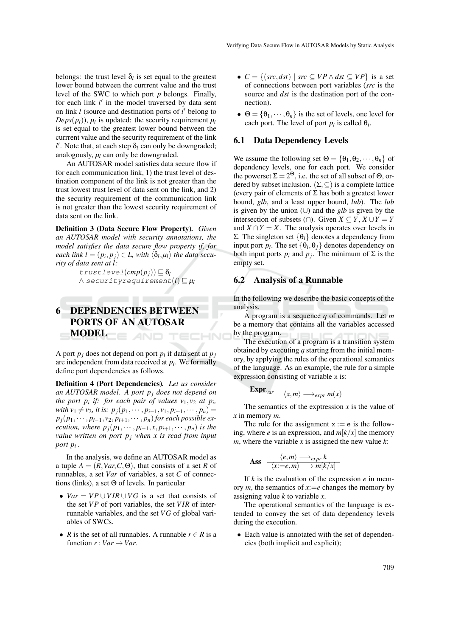belongs: the trust level  $\delta_l$  is set equal to the greatest lower bound between the currrent value and the trust level of the SWC to which port *p* belongs. Finally, for each link *l'* in the model traversed by data sent on link *l* (source and destination ports of *l'* belong to  $Deps(p_i)$ ),  $\mu_l$  is updated: the security requirement  $\mu_l$ is set equal to the greatest lower bound between the currrent value and the security requirement of the link  $l'$ . Note that, at each step  $\delta_l$  can only be downgraded; analogously, *µ<sup>l</sup>* can only be downgraded.

An AUTOSAR model satisfies data secure flow if for each communication link, 1) the trust level of destination component of the link is not greater than the trust lowest trust level of data sent on the link, and 2) the security requirement of the communication link is not greater than the lowest security requirement of data sent on the link.

Definition 3 (Data Secure Flow Property)*. Given an AUTOSAR model with security annotations, the model satisfies the data secure flow property if, for*  $\mathit{each}\ \mathit{link}\ \mathit{l}=(p_i,p_j)\in L\text{, } \mathit{with}\ \langle \delta_l,\mu_l\rangle\ \mathit{the}\ \mathit{data}\ \mathit{secu-}$ *rity of data sent at l:*

> $true$ *l* $(cmp(p_i)) \subseteq \delta_l$  $\wedge$  securityrequirement( $l$ )  $\sqsubseteq \mu_l$

### 6 DEPENDENCIES BETWEEN PORTS OF AN AUTOSAR MODEL IE AND TECHNO

A port  $p_j$  does not depend on port  $p_i$  if data sent at  $p_j$ are independent from data received at *p<sup>i</sup>* . We formally define port dependencies as follows.

Definition 4 (Port Dependencies)*. Let us consider an AUTOSAR model. A port p<sup>j</sup> does not depend on the port*  $p_i$  *if: for each pair of values*  $v_1, v_2$  *at*  $p_i$ *,*  $with v_1 \neq v_2, it is: p_i(p_1, \dots, p_{i-1}, v_1, p_{i+1}, \dots, p_n) =$  $p_j(p_1, \dots, p_{i-1}, v_2, p_{i+1}, \dots, p_n)$  *for each possible execution, where*  $p_j(p_1, \dots, p_{i-1}, x, p_{i+1}, \dots, p_n)$  *is the value written on port p<sup>j</sup> when x is read from input port p<sup>i</sup> .*

In the analysis, we define an AUTOSAR model as a tuple  $A = (R, Var, C, \Theta)$ , that consists of a set R of runnables, a set *Var* of variables, a set *C* of connections (links), a set Θ of levels. In particular

- $Var = VP \cup VIR \cup VG$  is a set that consists of the set *V P* of port variables, the set *V IR* of interrunnable variables, and the set *V G* of global variables of SWCs.
- *R* is the set of all runnables. A runnable  $r \in R$  is a function  $r: Var \rightarrow Var$ .
- $C = \{(src, dst) \mid src \subseteq VP \land dst \subseteq VP\}$  is a set of connections between port variables (*src* is the source and *dst* is the destination port of the connection).
- $\bullet \ \Theta = {\theta_1, \cdots, \theta_n}$  is the set of levels, one level for each port. The level of port  $p_i$  is called  $\theta_i$ .

#### 6.1 Data Dependency Levels

We assume the following set  $\Theta = {\theta_1, \theta_2, \cdots, \theta_n}$  of dependency levels, one for each port. We consider the powerset  $\Sigma = 2^{\Theta}$ , i.e. the set of all subset of  $\Theta$ , ordered by subset inclusion.  $(\Sigma, \subseteq)$  is a complete lattice (every pair of elements of  $\Sigma$  has both a greatest lower bound, *glb*, and a least upper bound, *lub*). The *lub* is given by the union (∪) and the *glb* is given by the intersection of subsets (∩). Given  $X \subseteq Y$ ,  $X \cup Y = Y$ and  $X \cap Y = X$ . The analysis operates over levels in Σ. The singleton set {θ*i*} denotes a dependency from input port  $p_i$ . The set  $\{\theta_i, \theta_j\}$  denotes dependency on both input ports  $p_i$  and  $p_j$ . The minimum of  $\Sigma$  is the empty set.

### 6.2 Analysis of a Runnable

In the following we describe the basic concepts of the analysis.

A program is a sequence *q* of commands. Let *m* be a memory that contains all the variables accessed by the program.

The execution of a program is a transition system obtained by executing *q* starting from the initial memory, by applying the rules of the operational semantics of the language. As an example, the rule for a simple expression consisting of variable x is:

$$
\mathbf{Expr}_{\text{var}} \quad \overline{\langle x,m\rangle \longrightarrow_{\text{expr}} m(x)}
$$

The semantics of the exptression *x* is the value of *x* in memory *m*.

The rule for the assignment  $x := e$  is the following, where *e* is an expression, and  $m[k/x]$  the memory *m*, where the variable *x* is assigned the new value  $k$ :

**Ass** 
$$
\frac{\langle e, m \rangle \longrightarrow_{expr} k}{\langle x := e, m \rangle \longrightarrow m[k/x]}
$$

If *k* is the evaluation of the expression *e* in memory *m*, the semantics of  $x:=e$  changes the memory by assigning value *k* to variable *x*.

The operational semantics of the language is extended to convey the set of data dependency levels during the execution.

• Each value is annotated with the set of dependencies (both implicit and explicit);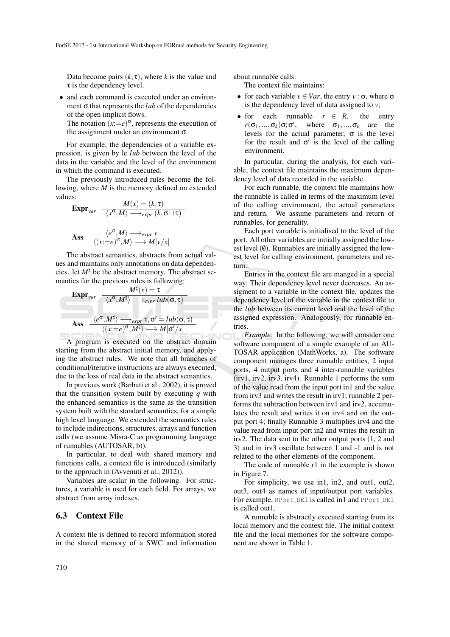Data become pairs  $(k, \tau)$ , where *k* is the value and  $\tau$  is the dependency level.

• and each command is executed under an environment  $\sigma$  that represents the *lub* of the dependencies of the open implicit flows.

The notation  $(x:=e)^\sigma$ , represents the execution of the assignment under an environment  $\sigma$ .

For example, the dependencies of a variable expression, is given by le *lub* between the level of the data in the variable and the level of the environment in which the command is executed.

The previously introduced rules become the following, where *M* is the memory defined on extended values:  $M(x) = (k, \pi)$ 

**Expr**<sub>var</sub>

\n
$$
\frac{M(x) = (k, \tau)}{\langle x^{\sigma}, M \rangle \longrightarrow_{expr} (k, \sigma \sqcup \tau)}
$$
\n**Ass**

\n
$$
\frac{\langle e^{\sigma}, M \rangle \longrightarrow_{expr} \nu}{\langle (x := e)^{\sigma}, M \rangle \longrightarrow M[\nu/x]}
$$

The abstract semantics, abstracts from actual values and maintains only annotations on data dependencies. let  $M^{\sharp}$  be the abstract memory. The abstract semantics for the previous rules is following:

Expr<sub>var</sub>

\n
$$
\frac{M^{\sharp}(x) = \tau}{\langle x^{\sigma}, M^{\sharp} \rangle \longrightarrow_{expr} lub(\sigma, \tau)}
$$
\nAss

\n
$$
\frac{\langle e^{\sigma}, M^{\sharp} \rangle \longrightarrow_{expr} \tau, \sigma' = lub(\sigma, \tau)}{\langle (x := e)^{\sigma}, M^{\sharp} \rangle \longrightarrow M[\sigma'/x]}
$$

A program is executed on the abstract domain starting from the abstract initial memory, and applying the abstract rules. We note that all branches of conditional/iterative instructions are always executed, due to the loss of real data in the abstract semantics.

In previous work (Barbuti et al., 2002), it is proved that the transition system built by executing *q* with the enhanced semantics is the same as the transition system built with the standard semantics, for a simple high level language. We extended the semantics rules to include indirections, structures, arrays and function calls (we assume Misra-C as programming language of runnables (AUTOSAR, b)).

In particular, to deal with shared memory and functions calls, a context file is introduced (similarly to the approach in (Avvenuti et al., 2012)).

Variables are scalar in the following. For structures, a variable is used for each field. For arrays, we abstract from array indexes.

### 6.3 Context File

A context file is defined to record information stored in the shared memory of a SWC and information about runnable calls.

The context file maintains:

- for each variable  $v \in Var$ , the entry  $v : \sigma$ , where  $\sigma$ is the dependency level of data assigned to *v*;
- for each runnable  $r \in R$ , the entry  $r(\sigma_1, ..., \sigma_k)\sigma; \sigma'$ , where  $\sigma_1, ..., \sigma_k$  are the levels for the actual parameter,  $\sigma$  is the level for the result and  $\sigma'$  is the level of the calling environment.

In particular, during the analysis, for each variable, the context file maintains the maximum dependency level of data recorded in the variable.

For each runnable, the context file maintains how the runnable is called in terms of the maximum level of the calling environment, the actual parameters and return. We assume parameters and return of runnables, for generality.

Each port variable is initialised to the level of the port. All other variables are initially assigned the lowest level  $(0)$ . Runnables are initially assigned the lowest level for calling environment, parameters and return.

Entries in the context file are manged in a special way. Their dependency level never decreases. An assigment to a variable in the context file, updates the dependency level of the variable in the context file to the *lub* between its current level and the level of the assigned expression. Analogously, for runnable entries.

*Example.* In the following, we will consider one software component of a simple example of an AU-TOSAR application (MathWorks, a). The software component manages three runnable entities, 2 input ports, 4 output ports and 4 inter-runnable variables (irv1, irv2, irv3, irv4). Runnable 1 performs the sum of the value read from the input port in1 and the value from irv3 and writes the result in irv1; runnable 2 performs the subtraction between irv1 and irv2, accumulates the result and writes it on irv4 and on the output port 4; finally Runnable 3 multiplies irv4 and the value read from input port in2 and writes the result in irv2. The data sent to the other output ports (1, 2 and 3) and in irv3 oscillate between 1 and -1 and is not related to the other elements of the component.

The code of runnable r1 in the example is shown in Figure 7.

For simplicity, we use in1, in2, and out1, out2, out3, out4 as names of input/output port variables. For example, RPort DE1 is called in1 and PPort DE1 is called out1.

A runnable is abstractly executed starting from its local memory and the context file. The initial context file and the local memories for the software component are shown in Table 1.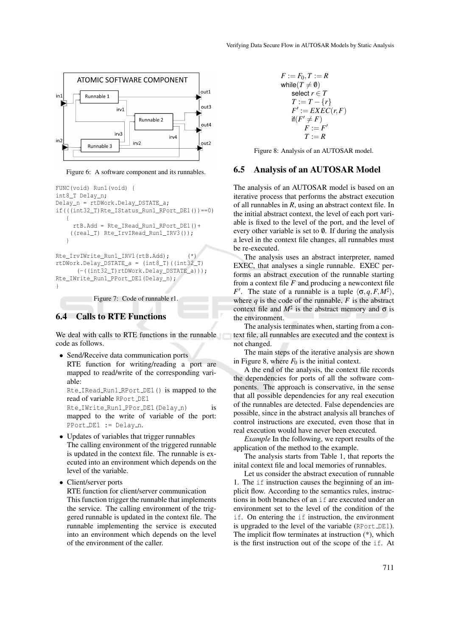

Figure 6: A software component and its runnables.

```
FUNC(void) Run1(void) {
int8_T Delay_n;
Delay_n = rtDWork.Delay_DSTATE_a;
if(((int32_T)Rte_IStatus_Run1_RPort_DE1())==0)
   {
     rtB.Add = Rte_IRead_Run1_RPort_DE1()+
    ((real_T) Rte_IrvIRead_Run1_IRV3());
   }
Rte_IrvIWrite_Run1_IRV1(rtB.Add); (*)
rtDWork.Delay_DSTATE_a = (int8_T)((int32_T)
      (-((int32_T)rtDWork.Delay_DSTATE_a)));
Rte_IWrite_Run1_PPort_DE1(Delay_n);
```
}

Figure 7: Code of runnable r1.

### 6.4 Calls to RTE Functions

We deal with calls to RTE functions in the runnable code as follows.

• Send/Receive data communication ports RTE function for writing/reading a port are mapped to read/write of the corresponding variable:

Rte\_IRead\_Run1\_RPort\_DE1() is mapped to the read of variable RPort DE1

Rte\_IWrite\_Run1\_PPor\_DE1(Delay\_n) is mapped to the write of variable of the port: PPort\_DE1 := Delay\_n.

- Updates of variables that trigger runnables The calling environment of the triggered runnable is updated in the context file. The runnable is executed into an environment which depends on the level of the variable.
- Client/server ports

RTE function for client/server communication

This function trigger the runnable that implements the service. The calling environment of the triggered runnable is updated in the context file. The runnable implementing the service is executed into an environment which depends on the level of the environment of the caller.

$$
F := F_0, T := R
$$
  
while  $(T \neq 0)$   
select  $r \in T$   
 $T := T - \{r\}$   
 $F' := EXEC(r, F)$   
if  $(F' \neq F)$   
 $F := F'$   
 $T := R$ 

Figure 8: Analysis of an AUTOSAR model.

#### 6.5 Analysis of an AUTOSAR Model

The analysis of an AUTOSAR model is based on an iterative process that performs the abstract execution of all runnables in *R*, using an abstract context file. In the initial abstract context, the level of each port variable is fixed to the level of the port, and the level of every other variable is set to  $\emptyset$ . If during the analysis a level in the context file changes, all runnables must be re-executed.

The analysis uses an abstract interpreter, named EXEC, that analyses a single runnable. EXEC performs an abstract execution of the runnable starting from a context file  $F$  and producing a newcontext file *F*<sup>'</sup>. The state of a runnable is a tuple  $\langle \sigma, q, F, M^{\sharp} \rangle$ , where  $q$  is the code of the runnable,  $F$  is the abstract context file and  $M^{\sharp}$  is the abstract memory and  $\sigma$  is the environment.

The analysis terminates when, starting from a context file, all runnables are executed and the context is not changed.

The main steps of the iterative analysis are shown in Figure 8, where  $F_0$  is the initial context.

A the end of the analysis, the context file records the dependencies for ports of all the software components. The approach is conservative, in the sense that all possible dependencies for any real execution of the runnables are detected. False dependencies are possible, since in the abstract analysis all branches of control instructions are executed, even those that in real execution would have never been executed.

*Example* In the following, we report results of the application of the method to the example.

The analysis starts from Table 1, that reports the inital context file and local memories of runnables.

Let us consider the abstract execution of runnable 1. The if instruction causes the beginning of an implicit flow. According to the semantics rules, instructions in both branches of an if are executed under an environment set to the level of the condition of the if. On entering the if instruction, the environment is upgraded to the level of the variable (RPort LDE1). The implicit flow terminates at instruction (\*), which is the first instruction out of the scope of the if. At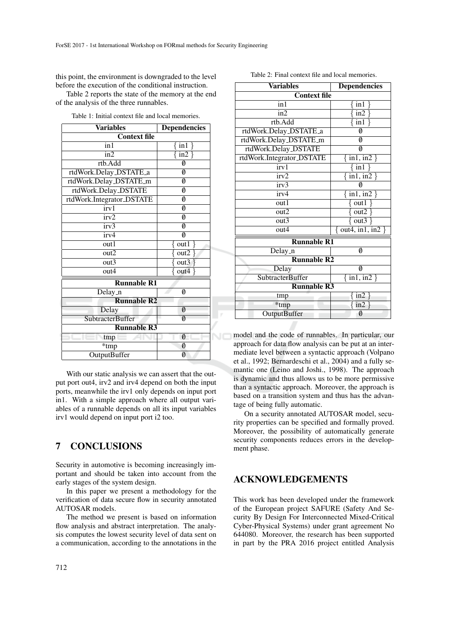this point, the environment is downgraded to the level before the execution of the conditional instruction.

Table 2 reports the state of the memory at the end of the analysis of the three runnables.

Table 1: Initial context file and local memories.

| <b>Variables</b>                          | <b>Dependencies</b>     |
|-------------------------------------------|-------------------------|
| <b>Context file</b>                       |                         |
| $\overline{\text{in}}$ 1                  | $\sin 1$                |
| $\overline{\text{in2}}$                   | $\frac{\sin 2}{\sin 2}$ |
| rtb.Add                                   | Ø                       |
| rtdWork.Delay_DSTATE_a                    | Ø                       |
| rtdWork.Delay_DSTATE_m                    | 0                       |
| rtdWork.Delay_DSTATE                      | Ø                       |
| rtdWork.Integrator_DSTATE                 | 0                       |
| irv1                                      | 0                       |
| irv2                                      | Ø                       |
| irv3                                      | 0                       |
| irv4                                      | Ø                       |
| out1                                      | out1                    |
| out2                                      | out2                    |
| out3                                      | out3                    |
| out4                                      | out4                    |
| <b>Runnable R1</b>                        |                         |
| $\overline{\mathrm{Delay}}$ <sub>-n</sub> | 0                       |
| <b>Runnable R2</b>                        |                         |
| Delay                                     | Ø                       |
| <b>SubtracterBuffer</b>                   | $\emptyset$             |
| <b>Runnable R3</b>                        |                         |
| tmp                                       | Ø                       |
| $\overline{\ast}_{tmp}$                   | Ø                       |
| <b>OutputBuffer</b>                       | Ø                       |

With our static analysis we can assert that the output port out4, irv2 and irv4 depend on both the input ports, meanwhile the irv1 only depends on input port in1. With a simple approach where all output variables of a runnable depends on all its input variables irv1 would depend on input port i2 too.

## 7 CONCLUSIONS

Security in automotive is becoming increasingly important and should be taken into account from the early stages of the system design.

In this paper we present a methodology for the verification of data secure flow in security annotated AUTOSAR models.

The method we present is based on information flow analysis and abstract interpretation. The analysis computes the lowest security level of data sent on a communication, according to the annotations in the

| <b>Variables</b>          | <b>Dependencies</b>                 |  |
|---------------------------|-------------------------------------|--|
| <b>Context file</b>       |                                     |  |
| $\overline{\text{in}}$ 1  | in 1                                |  |
| $\overline{\text{in2}}$   | $\frac{\sin 2}{\sin 2}$             |  |
| rtb.Add                   | $\overline{\text{in1}}$             |  |
| rtdWork.Delay_DSTATE_a    | Ø                                   |  |
| rtdWork.Delay_DSTATE_m    | Ø                                   |  |
| rtdWork.Delay_DSTATE      | 0                                   |  |
| rtdWork.Integrator_DSTATE | $\overline{\text{in1}, \text{in2}}$ |  |
| irv1                      | $\sin 1$                            |  |
| irv2                      | $\overline{\text{in1}, \text{in2}}$ |  |
| irv3                      | Ø                                   |  |
| irv4                      | $\{in1, in2\}$                      |  |
| out1                      | out1                                |  |
| out2                      | out2                                |  |
| $\overline{\text{out3}}$  | out3                                |  |
| out4                      | out4, in1, in2                      |  |
| <b>Runnable R1</b>        |                                     |  |
| Delay_n                   | Ø                                   |  |
| <b>Runnable R2</b>        |                                     |  |
| Delay                     | 0                                   |  |
| <b>SubtracterBuffer</b>   | $\{in1, in2\}$                      |  |
| <b>Runnable R3</b>        |                                     |  |
| tmp                       | in2                                 |  |
| *tmp                      | in2                                 |  |
| <b>OutputBuffer</b>       | Ø                                   |  |

Table 2: Final context file and local memories.

model and the code of runnables. In particular, our approach for data flow analysis can be put at an intermediate level between a syntactic approach (Volpano et al., 1992; Bernardeschi et al., 2004) and a fully semantic one (Leino and Joshi., 1998). The approach is dynamic and thus allows us to be more permissive than a syntactic approach. Moreover, the approach is based on a transition system and thus has the advantage of being fully automatic.

On a security annotated AUTOSAR model, security properties can be specified and formally proved. Moreover, the possibility of automatically generate security components reduces errors in the development phase.

### ACKNOWLEDGEMENTS

This work has been developed under the framework of the European project SAFURE (Safety And Security By Design For Interconnected Mixed-Critical Cyber-Physical Systems) under grant agreement No 644080. Moreover, the research has been supported in part by the PRA 2016 project entitled Analysis